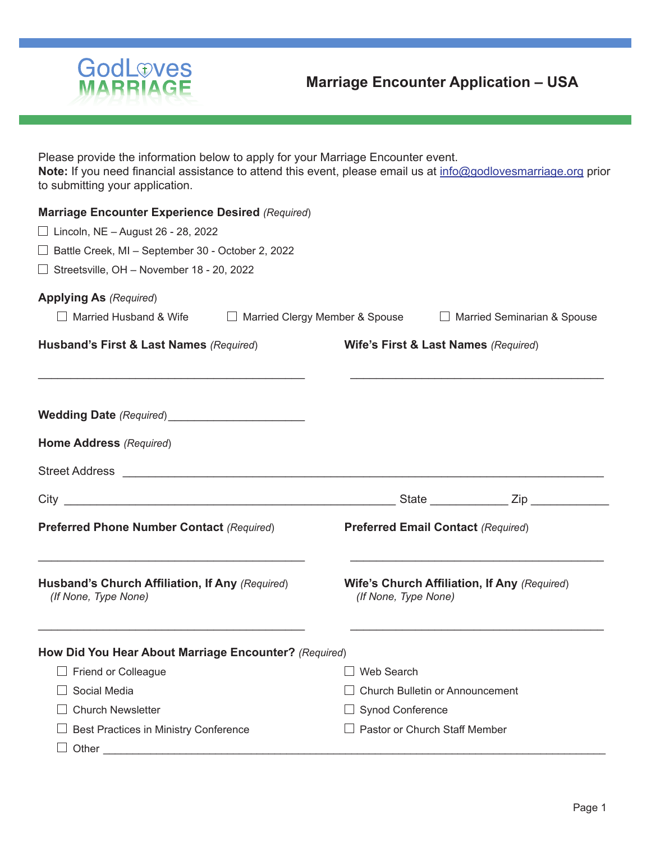

Please provide the information below to apply for your Marriage Encounter event. **Note:** If you need financial assistance to attend this event, please email us at info@godlovesmarriage.org prior to submitting your application.

| <b>Marriage Encounter Experience Desired (Required)</b><br>$\Box$ Lincoln, NE - August 26 - 28, 2022<br>□ Battle Creek, MI - September 30 - October 2, 2022 |                                      |                                                                      |                             |  |
|-------------------------------------------------------------------------------------------------------------------------------------------------------------|--------------------------------------|----------------------------------------------------------------------|-----------------------------|--|
| $\Box$ Streetsville, OH – November 18 - 20, 2022                                                                                                            |                                      |                                                                      |                             |  |
| <b>Applying As (Required)</b>                                                                                                                               |                                      |                                                                      |                             |  |
| $\Box$ Married Husband & Wife                                                                                                                               | □ Married Clergy Member & Spouse     |                                                                      | Married Seminarian & Spouse |  |
| Husband's First & Last Names (Required)                                                                                                                     | Wife's First & Last Names (Required) |                                                                      |                             |  |
|                                                                                                                                                             |                                      |                                                                      |                             |  |
| Home Address (Required)                                                                                                                                     |                                      |                                                                      |                             |  |
| <b>Street Address</b><br><u> 1989 - Johann Stein, marwolaethau a bhann an t-Amhainn an t-Amhainn an t-Amhainn an t-Amhainn an t-Amhainn an</u>              |                                      |                                                                      |                             |  |
| <u> 1989 - Jan James James, martin de filozof, martin de filozof, martin de filozof, martin de filozof, martin d</u><br>City                                |                                      |                                                                      |                             |  |
| <b>Preferred Phone Number Contact (Required)</b>                                                                                                            |                                      | <b>Preferred Email Contact (Required)</b>                            |                             |  |
| Husband's Church Affiliation, If Any (Required)<br>(If None, Type None)                                                                                     |                                      | Wife's Church Affiliation, If Any (Required)<br>(If None, Type None) |                             |  |
| How Did You Hear About Marriage Encounter? (Required)                                                                                                       |                                      |                                                                      |                             |  |
| $\Box$ Friend or Colleague                                                                                                                                  | $\Box$ Web Search                    |                                                                      |                             |  |
| Social Media                                                                                                                                                | Church Bulletin or Announcement      |                                                                      |                             |  |
| <b>Church Newsletter</b>                                                                                                                                    | <b>Synod Conference</b>              |                                                                      |                             |  |
| Best Practices in Ministry Conference                                                                                                                       | $\Box$ Pastor or Church Staff Member |                                                                      |                             |  |
| Other                                                                                                                                                       |                                      |                                                                      |                             |  |